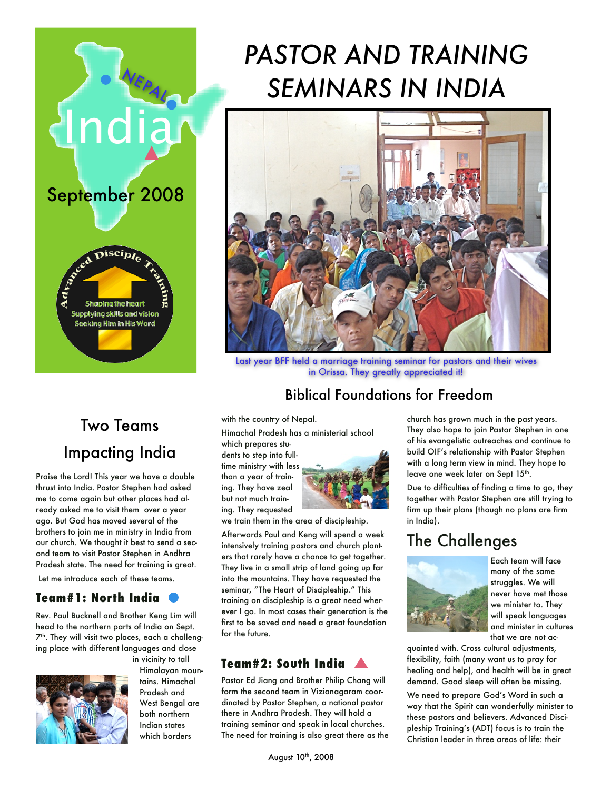

## Two Teams Impacting India

Praise the Lord! This year we have a double thrust into India. Pastor Stephen had asked me to come again but other places had already asked me to visit them over a year ago. But God has moved several of the brothers to join me in ministry in India from our church. We thought it best to send a second team to visit Pastor Stephen in Andhra Pradesh state. The need for training is great. Let me introduce each of these teams.

#### **Team#1: North India**

Rev. Paul Bucknell and Brother Keng Lim will head to the northern parts of India on Sept. 7<sup>th</sup>. They will visit two places, each a challenging place with different languages and close in vicinity to tall



Himalayan mountains. Himachal Pradesh and West Bengal are both northern Indian states which borders

# *PASTOR AND TRAINING*  **SEMINARS IN INDIA**



Last year BFF held a marriage training seminar for pastors and their wives in Orissa. They greatly appreciated it!

### Biblical Foundations for Freedom

with the country of Nepal.

Himachal Pradesh has a ministerial school

which prepares students to step into fulltime ministry with less than a year of training. They have zeal but not much training. They requested



we train them in the area of discipleship.

Afterwards Paul and Keng will spend a week intensively training pastors and church planters that rarely have a chance to get together. They live in a small strip of land going up far into the mountains. They have requested the seminar, "The Heart of Discipleship." This training on discipleship is a great need wherever I go. In most cases their generation is the first to be saved and need a great foundation for the future.

#### **Team#2: South India**

Pastor Ed Jiang and Brother Philip Chang will form the second team in Vizianagaram coordinated by Pastor Stephen, a national pastor there in Andhra Pradesh. They will hold a training seminar and speak in local churches. The need for training is also great there as the church has grown much in the past years. They also hope to join Pastor Stephen in one of his evangelistic outreaches and continue to build OIF's relationship with Pastor Stephen with a long term view in mind. They hope to leave one week later on Sept 15<sup>th</sup>.

Due to difficulties of finding a time to go, they together with Pastor Stephen are still trying to firm up their plans (though no plans are firm in India).

## The Challenges



Each team will face many of the same struggles. We will never have met those we minister to. They will speak languages and minister in cultures that we are not ac-

quainted with. Cross cultural adjustments, flexibility, faith (many want us to pray for healing and help), and health will be in great demand. Good sleep will often be missing.

We need to prepare God's Word in such a way that the Spirit can wonderfully minister to these pastors and believers. Advanced Discipleship Training's (ADT) focus is to train the Christian leader in three areas of life: their